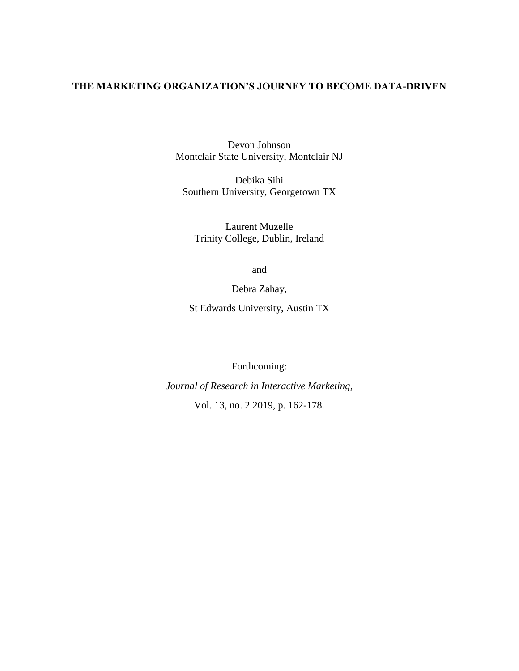## **THE MARKETING ORGANIZATION'S JOURNEY TO BECOME DATA-DRIVEN**

Devon Johnson Montclair State University, Montclair NJ

Debika Sihi Southern University, Georgetown TX

Laurent Muzelle Trinity College, Dublin, Ireland

and

Debra Zahay,

St Edwards University, Austin TX

Forthcoming:

*Journal of Research in Interactive Marketing,*  Vol. 13, no. 2 2019, p. 162-178.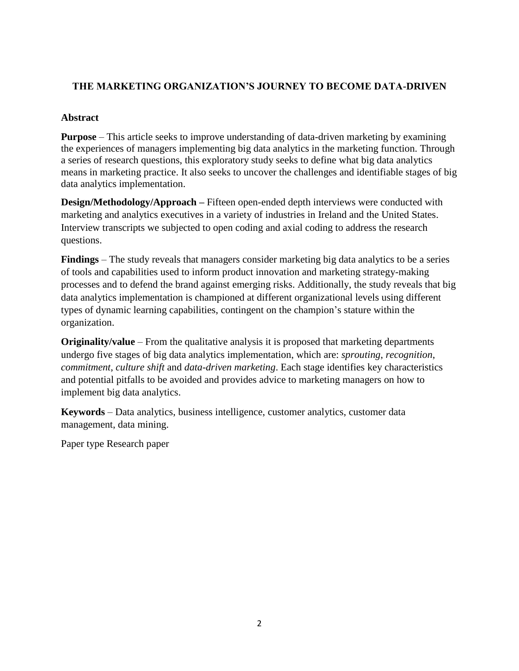# **THE MARKETING ORGANIZATION'S JOURNEY TO BECOME DATA-DRIVEN**

## **Abstract**

**Purpose** – This article seeks to improve understanding of data-driven marketing by examining the experiences of managers implementing big data analytics in the marketing function. Through a series of research questions, this exploratory study seeks to define what big data analytics means in marketing practice. It also seeks to uncover the challenges and identifiable stages of big data analytics implementation.

**Design/Methodology/Approach** – Fifteen open-ended depth interviews were conducted with marketing and analytics executives in a variety of industries in Ireland and the United States. Interview transcripts we subjected to open coding and axial coding to address the research questions.

**Findings** – The study reveals that managers consider marketing big data analytics to be a series of tools and capabilities used to inform product innovation and marketing strategy-making processes and to defend the brand against emerging risks. Additionally, the study reveals that big data analytics implementation is championed at different organizational levels using different types of dynamic learning capabilities, contingent on the champion's stature within the organization.

**Originality/value** – From the qualitative analysis it is proposed that marketing departments undergo five stages of big data analytics implementation, which are: *sprouting*, *recognition*, *commitment*, *culture shift* and *data-driven marketing*. Each stage identifies key characteristics and potential pitfalls to be avoided and provides advice to marketing managers on how to implement big data analytics.

**Keywords** – Data analytics, business intelligence, customer analytics, customer data management, data mining.

Paper type Research paper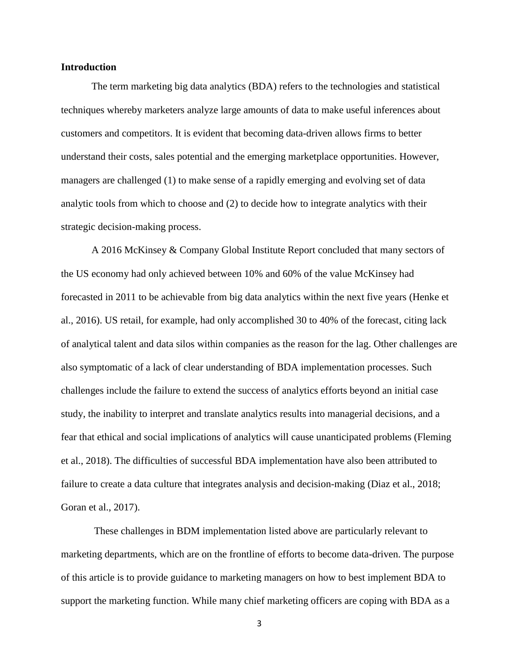#### **Introduction**

The term marketing big data analytics (BDA) refers to the technologies and statistical techniques whereby marketers analyze large amounts of data to make useful inferences about customers and competitors. It is evident that becoming data-driven allows firms to better understand their costs, sales potential and the emerging marketplace opportunities. However, managers are challenged (1) to make sense of a rapidly emerging and evolving set of data analytic tools from which to choose and (2) to decide how to integrate analytics with their strategic decision-making process.

A 2016 McKinsey & Company Global Institute Report concluded that many sectors of the US economy had only achieved between 10% and 60% of the value McKinsey had forecasted in 2011 to be achievable from big data analytics within the next five years (Henke et al., 2016). US retail, for example, had only accomplished 30 to 40% of the forecast, citing lack of analytical talent and data silos within companies as the reason for the lag. Other challenges are also symptomatic of a lack of clear understanding of BDA implementation processes. Such challenges include the failure to extend the success of analytics efforts beyond an initial case study, the inability to interpret and translate analytics results into managerial decisions, and a fear that ethical and social implications of analytics will cause unanticipated problems (Fleming et al., 2018). The difficulties of successful BDA implementation have also been attributed to failure to create a data culture that integrates analysis and decision-making (Diaz et al., 2018; Goran et al., 2017).

These challenges in BDM implementation listed above are particularly relevant to marketing departments, which are on the frontline of efforts to become data-driven. The purpose of this article is to provide guidance to marketing managers on how to best implement BDA to support the marketing function. While many chief marketing officers are coping with BDA as a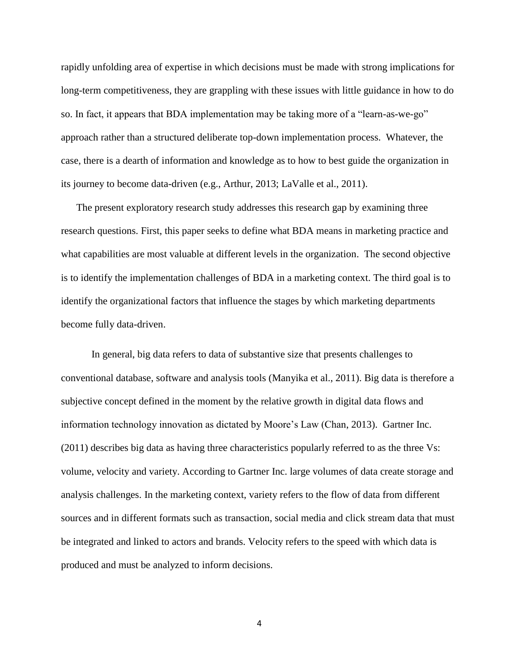rapidly unfolding area of expertise in which decisions must be made with strong implications for long-term competitiveness, they are grappling with these issues with little guidance in how to do so. In fact, it appears that BDA implementation may be taking more of a "learn-as-we-go" approach rather than a structured deliberate top-down implementation process. Whatever, the case, there is a dearth of information and knowledge as to how to best guide the organization in its journey to become data-driven (e.g., Arthur, 2013; LaValle et al., 2011).

The present exploratory research study addresses this research gap by examining three research questions. First, this paper seeks to define what BDA means in marketing practice and what capabilities are most valuable at different levels in the organization. The second objective is to identify the implementation challenges of BDA in a marketing context. The third goal is to identify the organizational factors that influence the stages by which marketing departments become fully data-driven.

In general, big data refers to data of substantive size that presents challenges to conventional database, software and analysis tools (Manyika et al., 2011). Big data is therefore a subjective concept defined in the moment by the relative growth in digital data flows and information technology innovation as dictated by Moore's Law (Chan, 2013). Gartner Inc. (2011) describes big data as having three characteristics popularly referred to as the three Vs: volume, velocity and variety. According to Gartner Inc. large volumes of data create storage and analysis challenges. In the marketing context, variety refers to the flow of data from different sources and in different formats such as transaction, social media and click stream data that must be integrated and linked to actors and brands. Velocity refers to the speed with which data is produced and must be analyzed to inform decisions.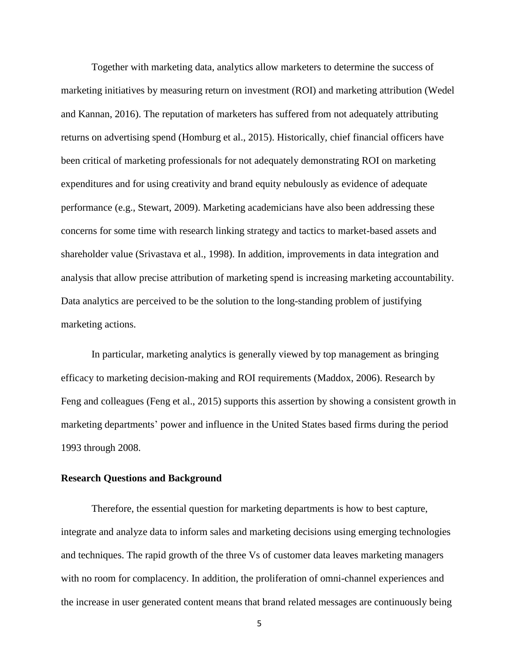Together with marketing data, analytics allow marketers to determine the success of marketing initiatives by measuring return on investment (ROI) and marketing attribution (Wedel and Kannan, 2016). The reputation of marketers has suffered from not adequately attributing returns on advertising spend (Homburg et al., 2015). Historically, chief financial officers have been critical of marketing professionals for not adequately demonstrating ROI on marketing expenditures and for using creativity and brand equity nebulously as evidence of adequate performance (e.g., Stewart, 2009). Marketing academicians have also been addressing these concerns for some time with research linking strategy and tactics to market-based assets and shareholder value (Srivastava et al., 1998). In addition, improvements in data integration and analysis that allow precise attribution of marketing spend is increasing marketing accountability. Data analytics are perceived to be the solution to the long-standing problem of justifying marketing actions.

In particular, marketing analytics is generally viewed by top management as bringing efficacy to marketing decision-making and ROI requirements (Maddox, 2006). Research by Feng and colleagues (Feng et al., 2015) supports this assertion by showing a consistent growth in marketing departments' power and influence in the United States based firms during the period 1993 through 2008.

#### **Research Questions and Background**

Therefore, the essential question for marketing departments is how to best capture, integrate and analyze data to inform sales and marketing decisions using emerging technologies and techniques. The rapid growth of the three Vs of customer data leaves marketing managers with no room for complacency. In addition, the proliferation of omni-channel experiences and the increase in user generated content means that brand related messages are continuously being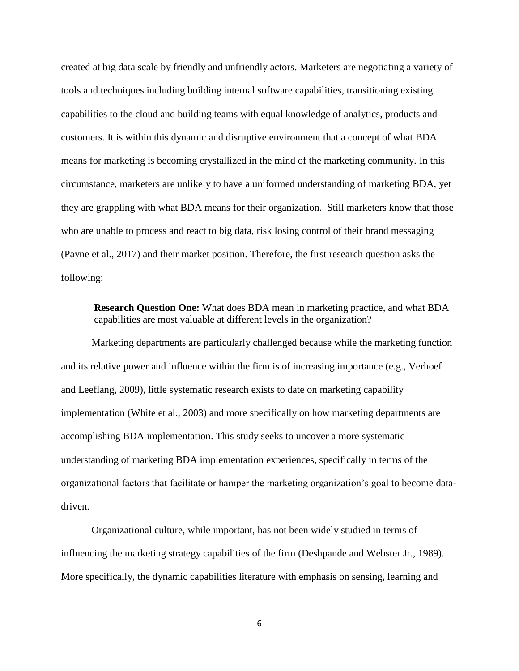created at big data scale by friendly and unfriendly actors. Marketers are negotiating a variety of tools and techniques including building internal software capabilities, transitioning existing capabilities to the cloud and building teams with equal knowledge of analytics, products and customers. It is within this dynamic and disruptive environment that a concept of what BDA means for marketing is becoming crystallized in the mind of the marketing community. In this circumstance, marketers are unlikely to have a uniformed understanding of marketing BDA, yet they are grappling with what BDA means for their organization. Still marketers know that those who are unable to process and react to big data, risk losing control of their brand messaging (Payne et al., 2017) and their market position. Therefore, the first research question asks the following:

**Research Question One:** What does BDA mean in marketing practice, and what BDA capabilities are most valuable at different levels in the organization?

Marketing departments are particularly challenged because while the marketing function and its relative power and influence within the firm is of increasing importance (e.g., Verhoef and Leeflang, 2009), little systematic research exists to date on marketing capability implementation (White et al., 2003) and more specifically on how marketing departments are accomplishing BDA implementation. This study seeks to uncover a more systematic understanding of marketing BDA implementation experiences, specifically in terms of the organizational factors that facilitate or hamper the marketing organization's goal to become datadriven.

Organizational culture, while important, has not been widely studied in terms of influencing the marketing strategy capabilities of the firm (Deshpande and Webster Jr., 1989). More specifically, the dynamic capabilities literature with emphasis on sensing, learning and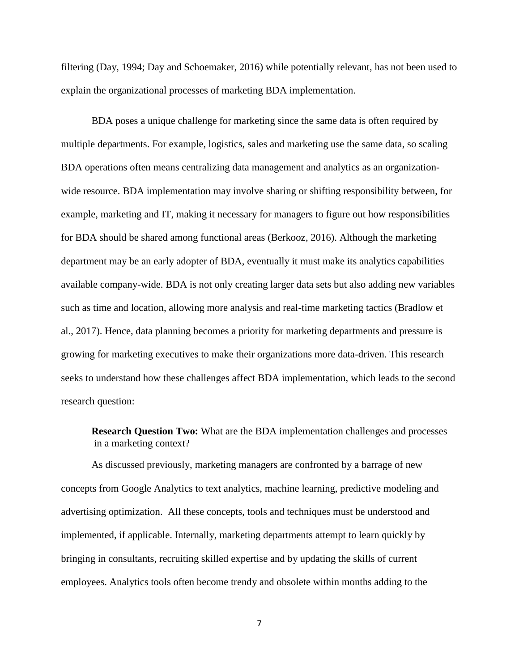filtering (Day, 1994; Day and Schoemaker, 2016) while potentially relevant, has not been used to explain the organizational processes of marketing BDA implementation.

BDA poses a unique challenge for marketing since the same data is often required by multiple departments. For example, logistics, sales and marketing use the same data, so scaling BDA operations often means centralizing data management and analytics as an organizationwide resource. BDA implementation may involve sharing or shifting responsibility between, for example, marketing and IT, making it necessary for managers to figure out how responsibilities for BDA should be shared among functional areas (Berkooz, 2016). Although the marketing department may be an early adopter of BDA, eventually it must make its analytics capabilities available company-wide. BDA is not only creating larger data sets but also adding new variables such as time and location, allowing more analysis and real-time marketing tactics (Bradlow et al., 2017). Hence, data planning becomes a priority for marketing departments and pressure is growing for marketing executives to make their organizations more data-driven. This research seeks to understand how these challenges affect BDA implementation, which leads to the second research question:

**Research Question Two:** What are the BDA implementation challenges and processes in a marketing context?

As discussed previously, marketing managers are confronted by a barrage of new concepts from Google Analytics to text analytics, machine learning, predictive modeling and advertising optimization. All these concepts, tools and techniques must be understood and implemented, if applicable. Internally, marketing departments attempt to learn quickly by bringing in consultants, recruiting skilled expertise and by updating the skills of current employees. Analytics tools often become trendy and obsolete within months adding to the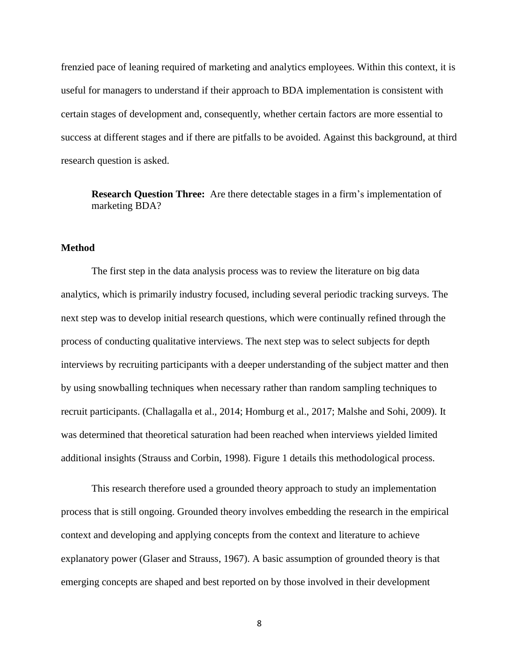frenzied pace of leaning required of marketing and analytics employees. Within this context, it is useful for managers to understand if their approach to BDA implementation is consistent with certain stages of development and, consequently, whether certain factors are more essential to success at different stages and if there are pitfalls to be avoided. Against this background, at third research question is asked.

**Research Question Three:** Are there detectable stages in a firm's implementation of marketing BDA?

## **Method**

The first step in the data analysis process was to review the literature on big data analytics, which is primarily industry focused, including several periodic tracking surveys. The next step was to develop initial research questions, which were continually refined through the process of conducting qualitative interviews. The next step was to select subjects for depth interviews by recruiting participants with a deeper understanding of the subject matter and then by using snowballing techniques when necessary rather than random sampling techniques to recruit participants. (Challagalla et al., 2014; Homburg et al., 2017; Malshe and Sohi, 2009). It was determined that theoretical saturation had been reached when interviews yielded limited additional insights (Strauss and Corbin, 1998). Figure 1 details this methodological process.

This research therefore used a grounded theory approach to study an implementation process that is still ongoing. Grounded theory involves embedding the research in the empirical context and developing and applying concepts from the context and literature to achieve explanatory power (Glaser and Strauss, 1967). A basic assumption of grounded theory is that emerging concepts are shaped and best reported on by those involved in their development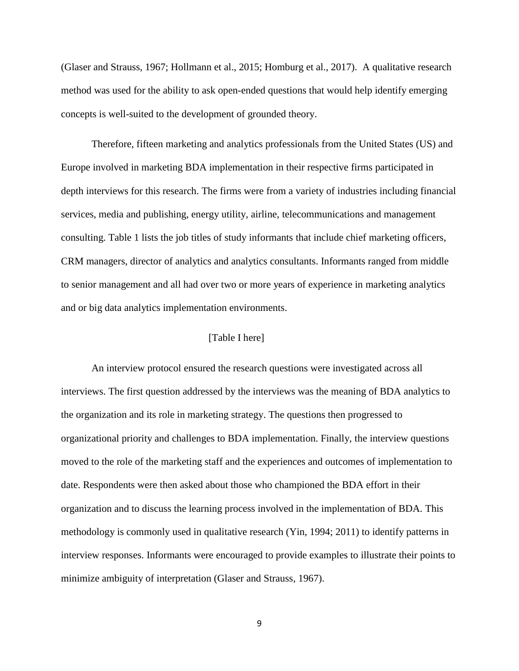(Glaser and Strauss, 1967; Hollmann et al., 2015; Homburg et al., 2017). A qualitative research method was used for the ability to ask open-ended questions that would help identify emerging concepts is well-suited to the development of grounded theory.

Therefore, fifteen marketing and analytics professionals from the United States (US) and Europe involved in marketing BDA implementation in their respective firms participated in depth interviews for this research. The firms were from a variety of industries including financial services, media and publishing, energy utility, airline, telecommunications and management consulting. Table 1 lists the job titles of study informants that include chief marketing officers, CRM managers, director of analytics and analytics consultants. Informants ranged from middle to senior management and all had over two or more years of experience in marketing analytics and or big data analytics implementation environments.

#### [Table I here]

An interview protocol ensured the research questions were investigated across all interviews. The first question addressed by the interviews was the meaning of BDA analytics to the organization and its role in marketing strategy. The questions then progressed to organizational priority and challenges to BDA implementation. Finally, the interview questions moved to the role of the marketing staff and the experiences and outcomes of implementation to date. Respondents were then asked about those who championed the BDA effort in their organization and to discuss the learning process involved in the implementation of BDA. This methodology is commonly used in qualitative research (Yin, 1994; 2011) to identify patterns in interview responses. Informants were encouraged to provide examples to illustrate their points to minimize ambiguity of interpretation (Glaser and Strauss, 1967).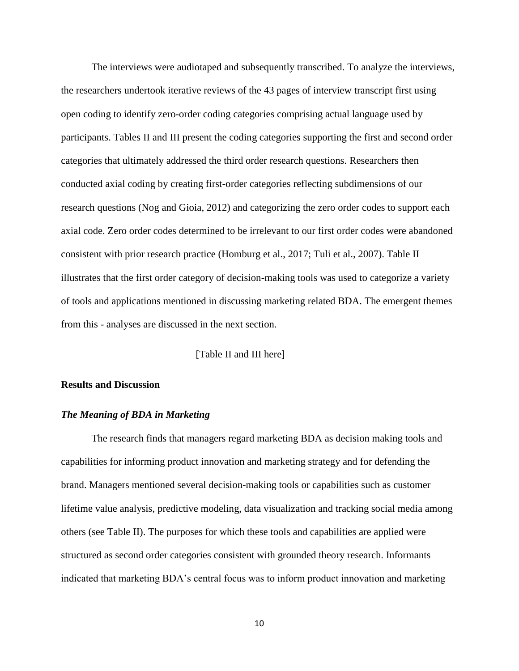The interviews were audiotaped and subsequently transcribed. To analyze the interviews, the researchers undertook iterative reviews of the 43 pages of interview transcript first using open coding to identify zero-order coding categories comprising actual language used by participants. Tables II and III present the coding categories supporting the first and second order categories that ultimately addressed the third order research questions. Researchers then conducted axial coding by creating first-order categories reflecting subdimensions of our research questions (Nog and Gioia, 2012) and categorizing the zero order codes to support each axial code. Zero order codes determined to be irrelevant to our first order codes were abandoned consistent with prior research practice (Homburg et al., 2017; Tuli et al., 2007). Table II illustrates that the first order category of decision-making tools was used to categorize a variety of tools and applications mentioned in discussing marketing related BDA. The emergent themes from this - analyses are discussed in the next section.

[Table II and III here]

#### **Results and Discussion**

#### *The Meaning of BDA in Marketing*

The research finds that managers regard marketing BDA as decision making tools and capabilities for informing product innovation and marketing strategy and for defending the brand. Managers mentioned several decision-making tools or capabilities such as customer lifetime value analysis, predictive modeling, data visualization and tracking social media among others (see Table II). The purposes for which these tools and capabilities are applied were structured as second order categories consistent with grounded theory research. Informants indicated that marketing BDA's central focus was to inform product innovation and marketing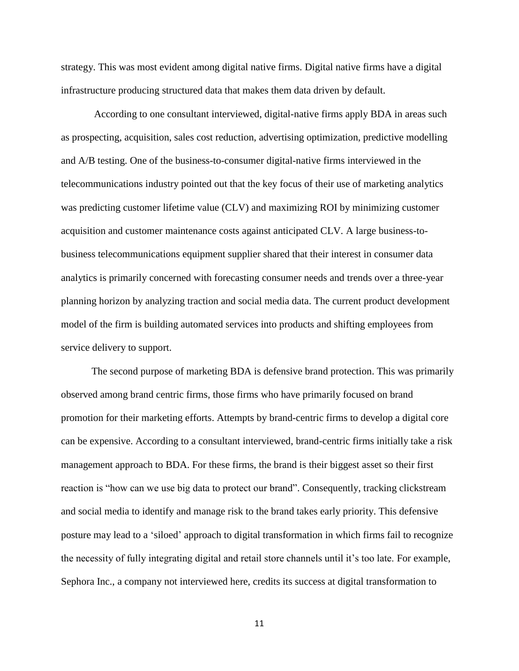strategy. This was most evident among digital native firms. Digital native firms have a digital infrastructure producing structured data that makes them data driven by default.

According to one consultant interviewed, digital-native firms apply BDA in areas such as prospecting, acquisition, sales cost reduction, advertising optimization, predictive modelling and A/B testing. One of the business-to-consumer digital-native firms interviewed in the telecommunications industry pointed out that the key focus of their use of marketing analytics was predicting customer lifetime value (CLV) and maximizing ROI by minimizing customer acquisition and customer maintenance costs against anticipated CLV. A large business-tobusiness telecommunications equipment supplier shared that their interest in consumer data analytics is primarily concerned with forecasting consumer needs and trends over a three-year planning horizon by analyzing traction and social media data. The current product development model of the firm is building automated services into products and shifting employees from service delivery to support.

The second purpose of marketing BDA is defensive brand protection. This was primarily observed among brand centric firms, those firms who have primarily focused on brand promotion for their marketing efforts. Attempts by brand-centric firms to develop a digital core can be expensive. According to a consultant interviewed, brand-centric firms initially take a risk management approach to BDA. For these firms, the brand is their biggest asset so their first reaction is "how can we use big data to protect our brand". Consequently, tracking clickstream and social media to identify and manage risk to the brand takes early priority. This defensive posture may lead to a 'siloed' approach to digital transformation in which firms fail to recognize the necessity of fully integrating digital and retail store channels until it's too late. For example, Sephora Inc., a company not interviewed here, credits its success at digital transformation to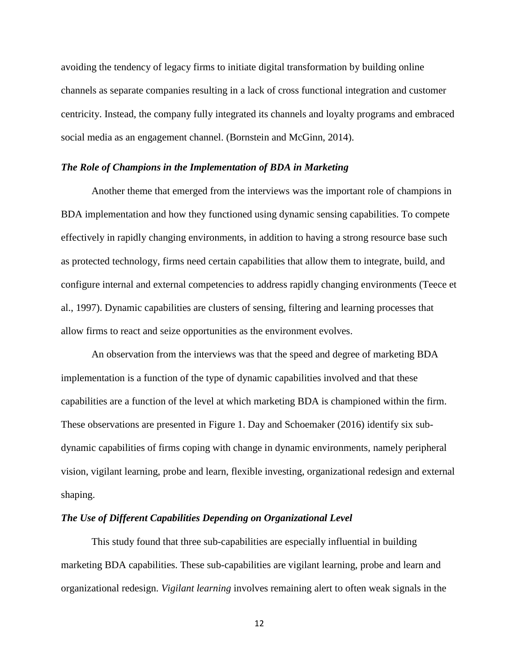avoiding the tendency of legacy firms to initiate digital transformation by building online channels as separate companies resulting in a lack of cross functional integration and customer centricity. Instead, the company fully integrated its channels and loyalty programs and embraced social media as an engagement channel. (Bornstein and McGinn, 2014).

#### *The Role of Champions in the Implementation of BDA in Marketing*

Another theme that emerged from the interviews was the important role of champions in BDA implementation and how they functioned using dynamic sensing capabilities. To compete effectively in rapidly changing environments, in addition to having a strong resource base such as protected technology, firms need certain capabilities that allow them to integrate, build, and configure internal and external competencies to address rapidly changing environments (Teece et al., 1997). Dynamic capabilities are clusters of sensing, filtering and learning processes that allow firms to react and seize opportunities as the environment evolves.

An observation from the interviews was that the speed and degree of marketing BDA implementation is a function of the type of dynamic capabilities involved and that these capabilities are a function of the level at which marketing BDA is championed within the firm. These observations are presented in Figure 1. Day and Schoemaker (2016) identify six subdynamic capabilities of firms coping with change in dynamic environments, namely peripheral vision, vigilant learning, probe and learn, flexible investing, organizational redesign and external shaping.

#### *The Use of Different Capabilities Depending on Organizational Level*

This study found that three sub-capabilities are especially influential in building marketing BDA capabilities. These sub-capabilities are vigilant learning, probe and learn and organizational redesign. *Vigilant learning* involves remaining alert to often weak signals in the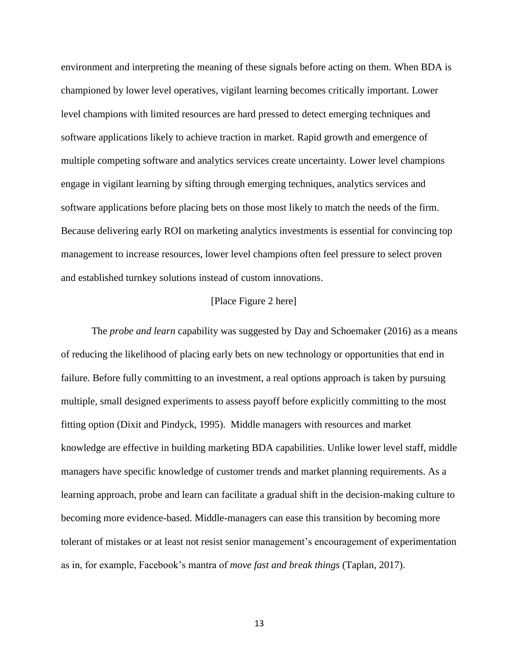environment and interpreting the meaning of these signals before acting on them. When BDA is championed by lower level operatives, vigilant learning becomes critically important. Lower level champions with limited resources are hard pressed to detect emerging techniques and software applications likely to achieve traction in market. Rapid growth and emergence of multiple competing software and analytics services create uncertainty. Lower level champions engage in vigilant learning by sifting through emerging techniques, analytics services and software applications before placing bets on those most likely to match the needs of the firm. Because delivering early ROI on marketing analytics investments is essential for convincing top management to increase resources, lower level champions often feel pressure to select proven and established turnkey solutions instead of custom innovations.

#### [Place Figure 2 here]

The *probe and learn* capability was suggested by Day and Schoemaker (2016) as a means of reducing the likelihood of placing early bets on new technology or opportunities that end in failure. Before fully committing to an investment, a real options approach is taken by pursuing multiple, small designed experiments to assess payoff before explicitly committing to the most fitting option (Dixit and Pindyck, 1995). Middle managers with resources and market knowledge are effective in building marketing BDA capabilities. Unlike lower level staff, middle managers have specific knowledge of customer trends and market planning requirements. As a learning approach, probe and learn can facilitate a gradual shift in the decision-making culture to becoming more evidence-based. Middle-managers can ease this transition by becoming more tolerant of mistakes or at least not resist senior management's encouragement of experimentation as in, for example, Facebook's mantra of *move fast and break things* (Taplan, 2017).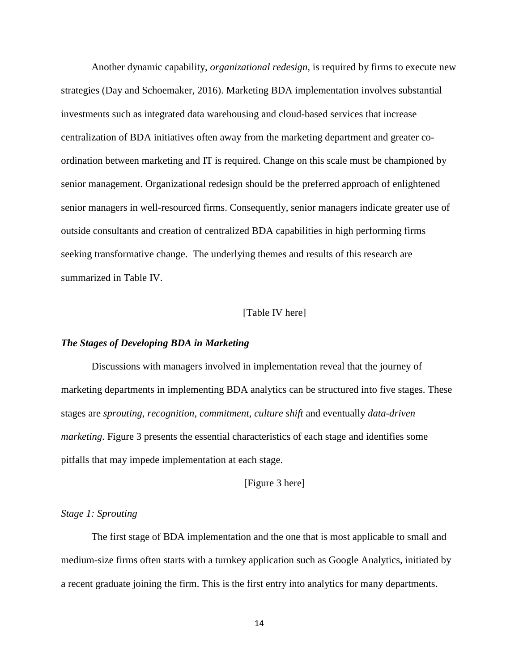Another dynamic capability, *organizational redesign,* is required by firms to execute new strategies (Day and Schoemaker, 2016). Marketing BDA implementation involves substantial investments such as integrated data warehousing and cloud-based services that increase centralization of BDA initiatives often away from the marketing department and greater coordination between marketing and IT is required. Change on this scale must be championed by senior management. Organizational redesign should be the preferred approach of enlightened senior managers in well-resourced firms. Consequently, senior managers indicate greater use of outside consultants and creation of centralized BDA capabilities in high performing firms seeking transformative change. The underlying themes and results of this research are summarized in Table IV.

#### [Table IV here]

#### *The Stages of Developing BDA in Marketing*

Discussions with managers involved in implementation reveal that the journey of marketing departments in implementing BDA analytics can be structured into five stages. These stages are *sprouting*, *recognition*, *commitment*, *culture shift* and eventually *data-driven marketing*. Figure 3 presents the essential characteristics of each stage and identifies some pitfalls that may impede implementation at each stage.

### [Figure 3 here]

#### *Stage 1: Sprouting*

The first stage of BDA implementation and the one that is most applicable to small and medium-size firms often starts with a turnkey application such as Google Analytics, initiated by a recent graduate joining the firm. This is the first entry into analytics for many departments.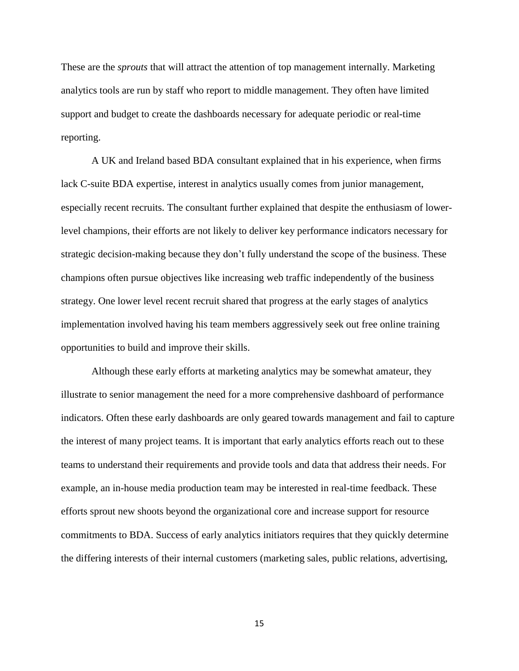These are the *sprouts* that will attract the attention of top management internally. Marketing analytics tools are run by staff who report to middle management. They often have limited support and budget to create the dashboards necessary for adequate periodic or real-time reporting.

A UK and Ireland based BDA consultant explained that in his experience, when firms lack C-suite BDA expertise, interest in analytics usually comes from junior management, especially recent recruits. The consultant further explained that despite the enthusiasm of lowerlevel champions, their efforts are not likely to deliver key performance indicators necessary for strategic decision-making because they don't fully understand the scope of the business. These champions often pursue objectives like increasing web traffic independently of the business strategy. One lower level recent recruit shared that progress at the early stages of analytics implementation involved having his team members aggressively seek out free online training opportunities to build and improve their skills.

Although these early efforts at marketing analytics may be somewhat amateur, they illustrate to senior management the need for a more comprehensive dashboard of performance indicators. Often these early dashboards are only geared towards management and fail to capture the interest of many project teams. It is important that early analytics efforts reach out to these teams to understand their requirements and provide tools and data that address their needs. For example, an in-house media production team may be interested in real-time feedback. These efforts sprout new shoots beyond the organizational core and increase support for resource commitments to BDA. Success of early analytics initiators requires that they quickly determine the differing interests of their internal customers (marketing sales, public relations, advertising,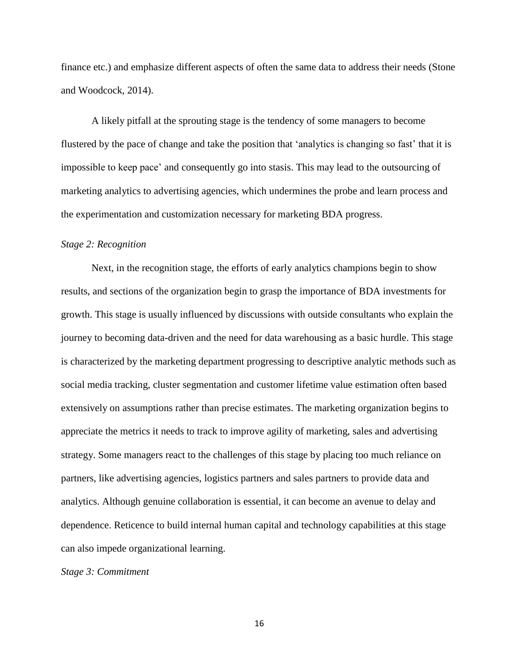finance etc.) and emphasize different aspects of often the same data to address their needs (Stone and Woodcock, 2014).

A likely pitfall at the sprouting stage is the tendency of some managers to become flustered by the pace of change and take the position that 'analytics is changing so fast' that it is impossible to keep pace' and consequently go into stasis. This may lead to the outsourcing of marketing analytics to advertising agencies, which undermines the probe and learn process and the experimentation and customization necessary for marketing BDA progress.

#### *Stage 2: Recognition*

Next, in the recognition stage, the efforts of early analytics champions begin to show results, and sections of the organization begin to grasp the importance of BDA investments for growth. This stage is usually influenced by discussions with outside consultants who explain the journey to becoming data-driven and the need for data warehousing as a basic hurdle. This stage is characterized by the marketing department progressing to descriptive analytic methods such as social media tracking, cluster segmentation and customer lifetime value estimation often based extensively on assumptions rather than precise estimates. The marketing organization begins to appreciate the metrics it needs to track to improve agility of marketing, sales and advertising strategy. Some managers react to the challenges of this stage by placing too much reliance on partners, like advertising agencies, logistics partners and sales partners to provide data and analytics. Although genuine collaboration is essential, it can become an avenue to delay and dependence. Reticence to build internal human capital and technology capabilities at this stage can also impede organizational learning.

#### *Stage 3: Commitment*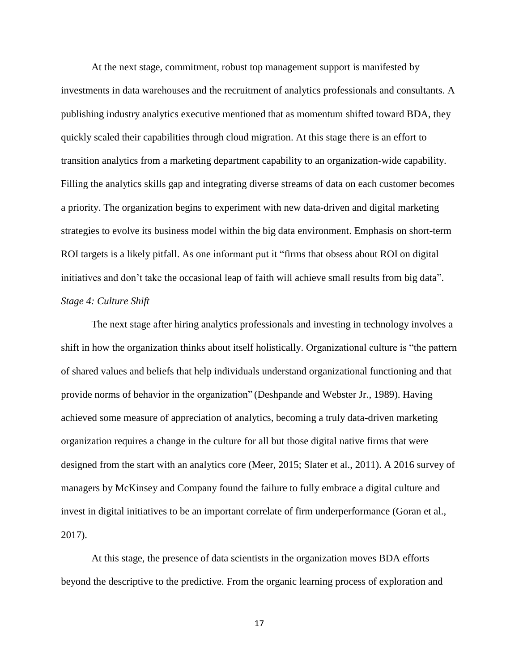At the next stage, commitment, robust top management support is manifested by investments in data warehouses and the recruitment of analytics professionals and consultants. A publishing industry analytics executive mentioned that as momentum shifted toward BDA, they quickly scaled their capabilities through cloud migration. At this stage there is an effort to transition analytics from a marketing department capability to an organization-wide capability. Filling the analytics skills gap and integrating diverse streams of data on each customer becomes a priority. The organization begins to experiment with new data-driven and digital marketing strategies to evolve its business model within the big data environment. Emphasis on short-term ROI targets is a likely pitfall. As one informant put it "firms that obsess about ROI on digital initiatives and don't take the occasional leap of faith will achieve small results from big data". *Stage 4: Culture Shift*

The next stage after hiring analytics professionals and investing in technology involves a shift in how the organization thinks about itself holistically. Organizational culture is "the pattern of shared values and beliefs that help individuals understand organizational functioning and that provide norms of behavior in the organization" (Deshpande and Webster Jr., 1989). Having achieved some measure of appreciation of analytics, becoming a truly data-driven marketing organization requires a change in the culture for all but those digital native firms that were designed from the start with an analytics core (Meer, 2015; Slater et al., 2011). A 2016 survey of managers by McKinsey and Company found the failure to fully embrace a digital culture and invest in digital initiatives to be an important correlate of firm underperformance (Goran et al., 2017).

At this stage, the presence of data scientists in the organization moves BDA efforts beyond the descriptive to the predictive. From the organic learning process of exploration and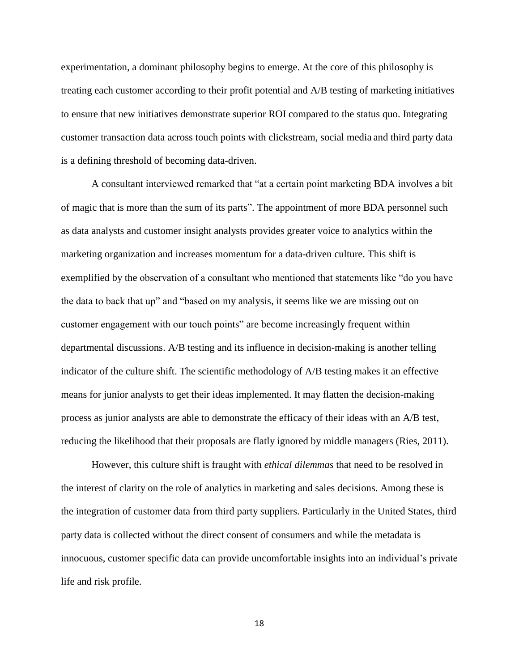experimentation, a dominant philosophy begins to emerge. At the core of this philosophy is treating each customer according to their profit potential and A/B testing of marketing initiatives to ensure that new initiatives demonstrate superior ROI compared to the status quo. Integrating customer transaction data across touch points with clickstream, social media and third party data is a defining threshold of becoming data-driven.

A consultant interviewed remarked that "at a certain point marketing BDA involves a bit of magic that is more than the sum of its parts". The appointment of more BDA personnel such as data analysts and customer insight analysts provides greater voice to analytics within the marketing organization and increases momentum for a data-driven culture. This shift is exemplified by the observation of a consultant who mentioned that statements like "do you have the data to back that up" and "based on my analysis, it seems like we are missing out on customer engagement with our touch points" are become increasingly frequent within departmental discussions. A/B testing and its influence in decision-making is another telling indicator of the culture shift. The scientific methodology of A/B testing makes it an effective means for junior analysts to get their ideas implemented. It may flatten the decision-making process as junior analysts are able to demonstrate the efficacy of their ideas with an A/B test, reducing the likelihood that their proposals are flatly ignored by middle managers (Ries, 2011).

However, this culture shift is fraught with *ethical dilemmas* that need to be resolved in the interest of clarity on the role of analytics in marketing and sales decisions. Among these is the integration of customer data from third party suppliers. Particularly in the United States, third party data is collected without the direct consent of consumers and while the metadata is innocuous, customer specific data can provide uncomfortable insights into an individual's private life and risk profile.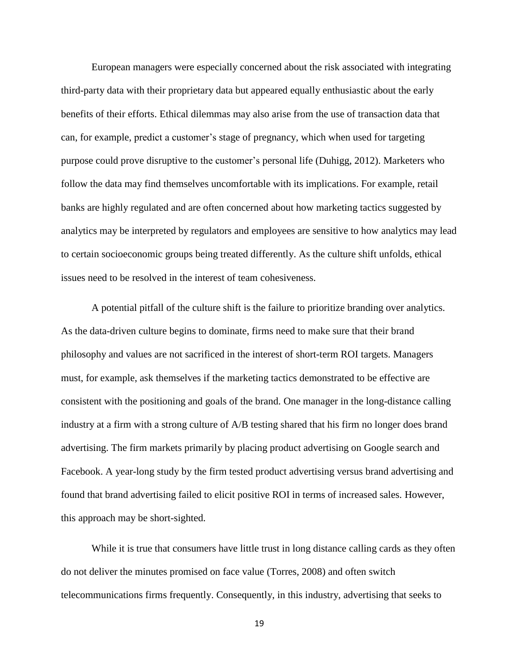European managers were especially concerned about the risk associated with integrating third-party data with their proprietary data but appeared equally enthusiastic about the early benefits of their efforts. Ethical dilemmas may also arise from the use of transaction data that can, for example, predict a customer's stage of pregnancy, which when used for targeting purpose could prove disruptive to the customer's personal life (Duhigg, 2012). Marketers who follow the data may find themselves uncomfortable with its implications. For example, retail banks are highly regulated and are often concerned about how marketing tactics suggested by analytics may be interpreted by regulators and employees are sensitive to how analytics may lead to certain socioeconomic groups being treated differently. As the culture shift unfolds, ethical issues need to be resolved in the interest of team cohesiveness.

A potential pitfall of the culture shift is the failure to prioritize branding over analytics. As the data-driven culture begins to dominate, firms need to make sure that their brand philosophy and values are not sacrificed in the interest of short-term ROI targets. Managers must, for example, ask themselves if the marketing tactics demonstrated to be effective are consistent with the positioning and goals of the brand. One manager in the long-distance calling industry at a firm with a strong culture of A/B testing shared that his firm no longer does brand advertising. The firm markets primarily by placing product advertising on Google search and Facebook. A year-long study by the firm tested product advertising versus brand advertising and found that brand advertising failed to elicit positive ROI in terms of increased sales. However, this approach may be short-sighted.

While it is true that consumers have little trust in long distance calling cards as they often do not deliver the minutes promised on face value (Torres, 2008) and often switch telecommunications firms frequently. Consequently, in this industry, advertising that seeks to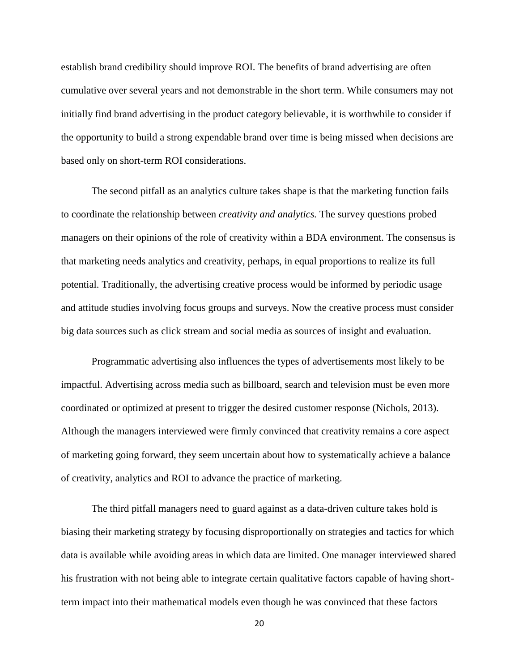establish brand credibility should improve ROI. The benefits of brand advertising are often cumulative over several years and not demonstrable in the short term. While consumers may not initially find brand advertising in the product category believable, it is worthwhile to consider if the opportunity to build a strong expendable brand over time is being missed when decisions are based only on short-term ROI considerations.

The second pitfall as an analytics culture takes shape is that the marketing function fails to coordinate the relationship between *creativity and analytics.* The survey questions probed managers on their opinions of the role of creativity within a BDA environment. The consensus is that marketing needs analytics and creativity, perhaps, in equal proportions to realize its full potential. Traditionally, the advertising creative process would be informed by periodic usage and attitude studies involving focus groups and surveys. Now the creative process must consider big data sources such as click stream and social media as sources of insight and evaluation.

Programmatic advertising also influences the types of advertisements most likely to be impactful. Advertising across media such as billboard, search and television must be even more coordinated or optimized at present to trigger the desired customer response (Nichols, 2013). Although the managers interviewed were firmly convinced that creativity remains a core aspect of marketing going forward, they seem uncertain about how to systematically achieve a balance of creativity, analytics and ROI to advance the practice of marketing.

The third pitfall managers need to guard against as a data-driven culture takes hold is biasing their marketing strategy by focusing disproportionally on strategies and tactics for which data is available while avoiding areas in which data are limited. One manager interviewed shared his frustration with not being able to integrate certain qualitative factors capable of having shortterm impact into their mathematical models even though he was convinced that these factors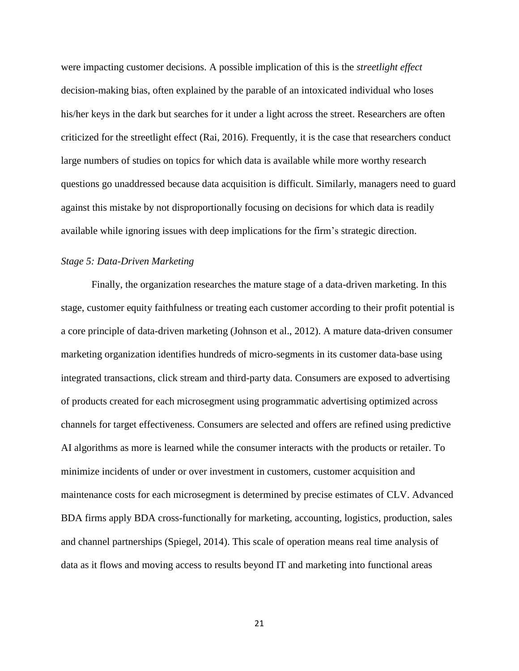were impacting customer decisions. A possible implication of this is the *streetlight effect* decision-making bias, often explained by the parable of an intoxicated individual who loses his/her keys in the dark but searches for it under a light across the street. Researchers are often criticized for the streetlight effect (Rai, 2016). Frequently, it is the case that researchers conduct large numbers of studies on topics for which data is available while more worthy research questions go unaddressed because data acquisition is difficult. Similarly, managers need to guard against this mistake by not disproportionally focusing on decisions for which data is readily available while ignoring issues with deep implications for the firm's strategic direction.

### *Stage 5: Data-Driven Marketing*

Finally, the organization researches the mature stage of a data-driven marketing. In this stage, customer equity faithfulness or treating each customer according to their profit potential is a core principle of data-driven marketing (Johnson et al., 2012). A mature data-driven consumer marketing organization identifies hundreds of micro-segments in its customer data-base using integrated transactions, click stream and third-party data. Consumers are exposed to advertising of products created for each microsegment using programmatic advertising optimized across channels for target effectiveness. Consumers are selected and offers are refined using predictive AI algorithms as more is learned while the consumer interacts with the products or retailer. To minimize incidents of under or over investment in customers, customer acquisition and maintenance costs for each microsegment is determined by precise estimates of CLV. Advanced BDA firms apply BDA cross-functionally for marketing, accounting, logistics, production, sales and channel partnerships (Spiegel, 2014). This scale of operation means real time analysis of data as it flows and moving access to results beyond IT and marketing into functional areas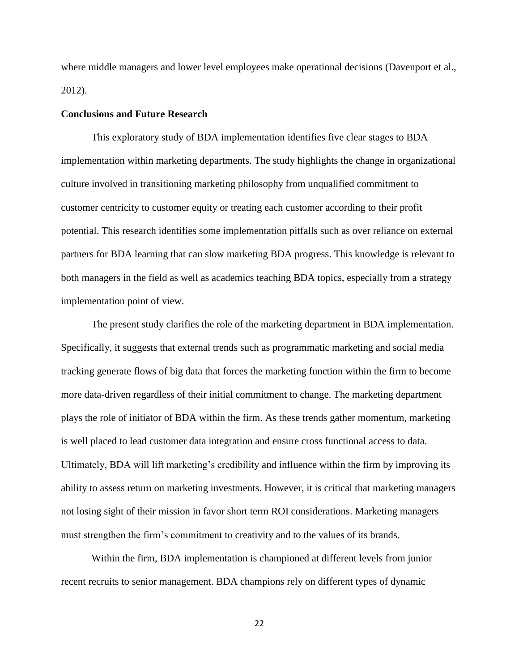where middle managers and lower level employees make operational decisions (Davenport et al., 2012).

#### **Conclusions and Future Research**

This exploratory study of BDA implementation identifies five clear stages to BDA implementation within marketing departments. The study highlights the change in organizational culture involved in transitioning marketing philosophy from unqualified commitment to customer centricity to customer equity or treating each customer according to their profit potential. This research identifies some implementation pitfalls such as over reliance on external partners for BDA learning that can slow marketing BDA progress. This knowledge is relevant to both managers in the field as well as academics teaching BDA topics, especially from a strategy implementation point of view.

The present study clarifies the role of the marketing department in BDA implementation. Specifically, it suggests that external trends such as programmatic marketing and social media tracking generate flows of big data that forces the marketing function within the firm to become more data-driven regardless of their initial commitment to change. The marketing department plays the role of initiator of BDA within the firm. As these trends gather momentum, marketing is well placed to lead customer data integration and ensure cross functional access to data. Ultimately, BDA will lift marketing's credibility and influence within the firm by improving its ability to assess return on marketing investments. However, it is critical that marketing managers not losing sight of their mission in favor short term ROI considerations. Marketing managers must strengthen the firm's commitment to creativity and to the values of its brands.

Within the firm, BDA implementation is championed at different levels from junior recent recruits to senior management. BDA champions rely on different types of dynamic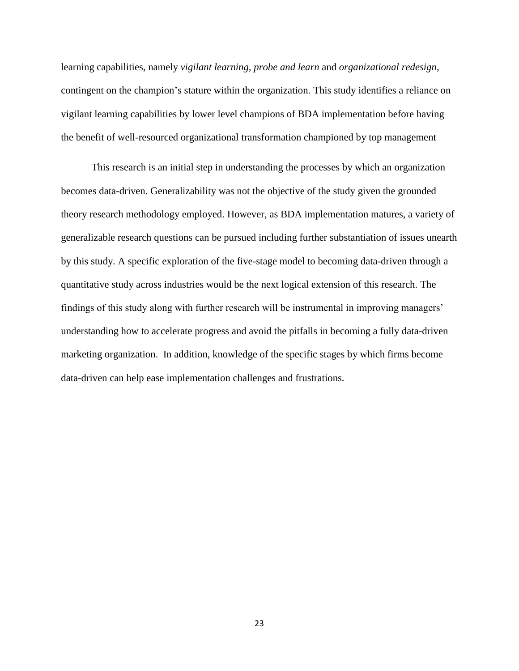learning capabilities, namely *vigilant learning, probe and learn* and *organizational redesign*, contingent on the champion's stature within the organization. This study identifies a reliance on vigilant learning capabilities by lower level champions of BDA implementation before having the benefit of well-resourced organizational transformation championed by top management

This research is an initial step in understanding the processes by which an organization becomes data-driven. Generalizability was not the objective of the study given the grounded theory research methodology employed. However, as BDA implementation matures, a variety of generalizable research questions can be pursued including further substantiation of issues unearth by this study. A specific exploration of the five-stage model to becoming data-driven through a quantitative study across industries would be the next logical extension of this research. The findings of this study along with further research will be instrumental in improving managers' understanding how to accelerate progress and avoid the pitfalls in becoming a fully data-driven marketing organization. In addition, knowledge of the specific stages by which firms become data-driven can help ease implementation challenges and frustrations.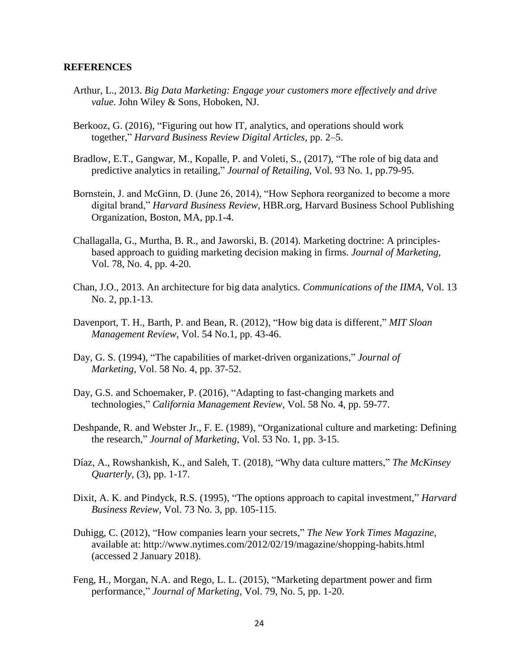## **REFERENCES**

- Arthur, L., 2013. *Big Data Marketing: Engage your customers more effectively and drive value*. John Wiley & Sons, Hoboken, NJ.
- Berkooz, G. (2016), "Figuring out how IT, analytics, and operations should work together," *Harvard Business Review Digital Articles*, pp. 2–5.
- Bradlow, E.T., Gangwar, M., Kopalle, P. and Voleti, S., (2017), "The role of big data and predictive analytics in retailing," *Journal of Retailing*, Vol. 93 No. 1, pp.79-95.
- Bornstein, J. and McGinn, D. (June 26, 2014), "How Sephora reorganized to become a more digital brand," *Harvard Business Review*, HBR.org, Harvard Business School Publishing Organization, Boston, MA, pp.1-4.
- Challagalla, G., Murtha, B. R., and Jaworski, B. (2014). Marketing doctrine: A principlesbased approach to guiding marketing decision making in firms. *Journal of Marketing,* Vol. 78*,* No. 4, pp. 4-20.
- Chan, J.O., 2013. An architecture for big data analytics. *Communications of the IIMA*, Vol. 13 No. 2, pp.1-13.
- Davenport, T. H., Barth, P. and Bean, R. (2012), "How big data is different," *MIT Sloan Management Review,* Vol. 54 No.1, pp. 43-46.
- Day, G. S. (1994), "The capabilities of market-driven organizations," *Journal of Marketing,* Vol. 58 No. 4, pp. 37-52.
- Day, G.S. and Schoemaker, P. (2016), "Adapting to fast-changing markets and technologies," *California Management Review,* Vol. 58 No. 4, pp. 59-77.
- Deshpande, R. and Webster Jr., F. E. (1989), "Organizational culture and marketing: Defining the research," *Journal of Marketing,* Vol. 53 No. 1, pp. 3-15.
- Díaz, A., Rowshankish, K., and Saleh, T. (2018), "Why data culture matters," *The McKinsey Quarterly,* (3), pp. 1-17.
- Dixit, A. K. and Pindyck, R.S. (1995), "The options approach to capital investment," *Harvard Business Review*, Vol. 73 No. 3, pp. 105-115.
- Duhigg, C. (2012), "How companies learn your secrets," *The New York Times Magazine*, available at: http://www.nytimes.com/2012/02/19/magazine/shopping-habits.html (accessed 2 January 2018).
- Feng, H., Morgan, N.A. and Rego, L. L. (2015), "Marketing department power and firm performance," *Journal of Marketing,* Vol. 79, No. 5, pp. 1-20.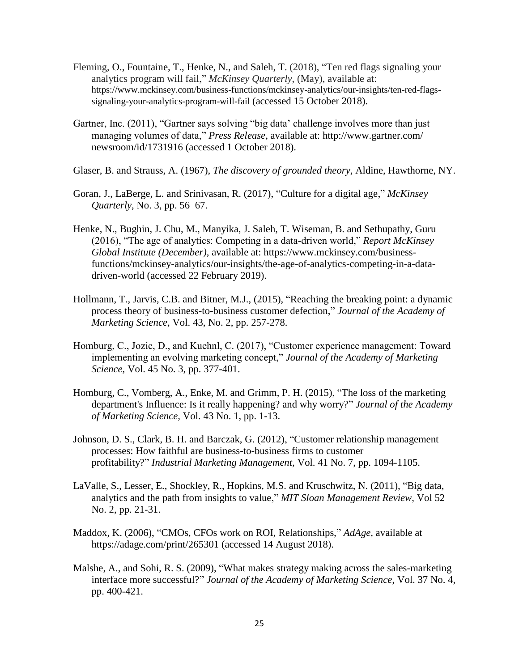- Fleming, O., Fountaine, T., Henke, N., and Saleh, T. (2018), "Ten red flags signaling your analytics program will fail," *McKinsey Quarterly*, (May), available at: https://www.mckinsey.com/business-functions/mckinsey-analytics/our-insights/ten-red-flagssignaling-your-analytics-program-will-fail (accessed 15 October 2018).
- Gartner, Inc. (2011), "Gartner says solving "big data' challenge involves more than just managing volumes of data," *Press Release*, available at: http://www.gartner.com/ newsroom/id/1731916 (accessed 1 October 2018).
- Glaser, B. and Strauss, A. (1967), *The discovery of grounded theory*, Aldine, Hawthorne, NY.
- Goran, J., LaBerge, L. and Srinivasan, R. (2017), "Culture for a digital age," *McKinsey Quarterly*, No. 3, pp. 56–67.
- Henke, N., Bughin, J. Chu, M., Manyika, J. Saleh, T. Wiseman, B. and Sethupathy, Guru (2016), "The age of analytics: Competing in a data-driven world," *Report McKinsey Global Institute (December)*, available at: https://www.mckinsey.com/businessfunctions/mckinsey-analytics/our-insights/the-age-of-analytics-competing-in-a-datadriven-world (accessed 22 February 2019).
- Hollmann, T., Jarvis, C.B. and Bitner, M.J., (2015), "Reaching the breaking point: a dynamic process theory of business-to-business customer defection," *Journal of the Academy of Marketing Science*, Vol. 43, No. 2, pp. 257-278.
- Homburg, C., Jozic, D., and Kuehnl, C. (2017), "Customer experience management: Toward implementing an evolving marketing concept," *Journal of the Academy of Marketing Science,* Vol. 45 No. 3, pp. 377-401.
- Homburg, C., Vomberg, A., Enke, M. and Grimm, P. H. (2015), "The loss of the marketing department's Influence: Is it really happening? and why worry?" *Journal of the Academy of Marketing Science,* Vol. 43 No. 1, pp. 1-13.
- Johnson, D. S., Clark, B. H. and Barczak, G. (2012), "Customer relationship management processes: How faithful are business-to-business firms to customer profitability?" *Industrial Marketing Management,* Vol. 41 No. 7, pp. 1094-1105.
- LaValle, S., Lesser, E., Shockley, R., Hopkins, M.S. and Kruschwitz, N. (2011), "Big data, analytics and the path from insights to value," *MIT Sloan Management Review*, Vol 52 No. 2, pp. 21-31.
- Maddox, K. (2006), "CMOs, CFOs work on ROI, Relationships," *AdAge,* available at https://adage.com/print/265301 (accessed 14 August 2018).
- Malshe, A., and Sohi, R. S. (2009), "What makes strategy making across the sales-marketing interface more successful?" *Journal of the Academy of Marketing Science,* Vol. 37 No. 4, pp. 400-421.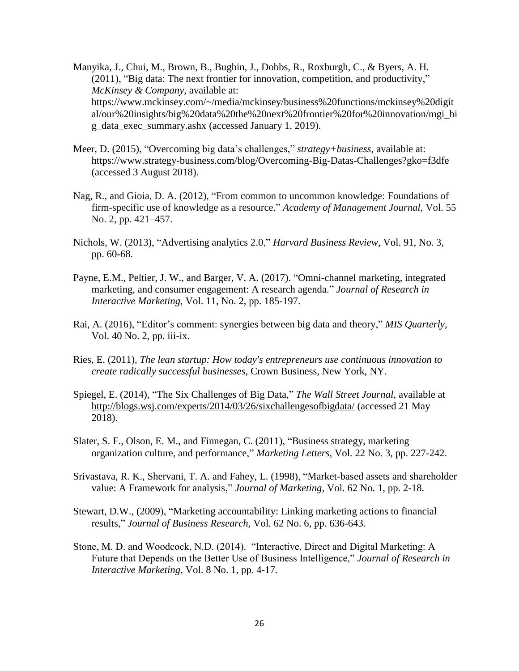Manyika, J., Chui, M., Brown, B., Bughin, J., Dobbs, R., Roxburgh, C., & Byers, A. H. (2011), "Big data: The next frontier for innovation, competition, and productivity," *McKinsey & Company*, available at: https://www.mckinsey.com/~/media/mckinsey/business%20functions/mckinsey%20digit al/our%20insights/big%20data%20the%20next%20frontier%20for%20innovation/mgi\_bi g\_data\_exec\_summary.ashx (accessed January 1, 2019).

- Meer, D. (2015), "Overcoming big data's challenges," *strategy+business,* available at: https://www.strategy-business.com/blog/Overcoming-Big-Datas-Challenges?gko=f3dfe (accessed 3 August 2018).
- Nag, R., and Gioia, D. A. (2012), "From common to uncommon knowledge: Foundations of firm-specific use of knowledge as a resource," *Academy of Management Journal*, Vol. 55 No. 2, pp. 421–457.
- Nichols, W. (2013), "Advertising analytics 2.0," *Harvard Business Review,* Vol. 91, No. 3, pp. 60-68.
- Payne, E.M., Peltier, J. W., and Barger, V. A. (2017). "Omni-channel marketing, integrated marketing, and consumer engagement: A research agenda." *Journal of Research in Interactive Marketing,* Vol. 11, No. 2, pp. 185-197.
- Rai, A. (2016), "Editor's comment: synergies between big data and theory," *MIS Quarterly,* Vol. 40 No. 2, pp. iii-ix.
- Ries, E. (2011), *The lean startup: How today's entrepreneurs use continuous innovation to create radically successful businesses,* Crown Business, New York, NY.
- Spiegel, E. (2014), "The Six Challenges of Big Data," *The Wall Street Journal*, available at <http://blogs.wsj.com/experts/2014/03/26/sixchallengesofbigdata/> (accessed 21 May 2018).
- Slater, S. F., Olson, E. M., and Finnegan, C. (2011), "Business strategy, marketing organization culture, and performance," *Marketing Letters,* Vol. 22 No. 3, pp. 227-242.
- Srivastava, R. K., Shervani, T. A. and Fahey, L. (1998), "Market-based assets and shareholder value: A Framework for analysis," *Journal of Marketing,* Vol. 62 No. 1, pp. 2-18.
- Stewart, D.W., (2009), "Marketing accountability: Linking marketing actions to financial results," *Journal of Business Research*, Vol. 62 No. 6, pp. 636-643.
- Stone, M. D. and Woodcock, N.D. (2014). "Interactive, Direct and Digital Marketing: A Future that Depends on the Better Use of Business Intelligence," *Journal of Research in Interactive Marketing*, Vol. 8 No. 1, pp. 4-17.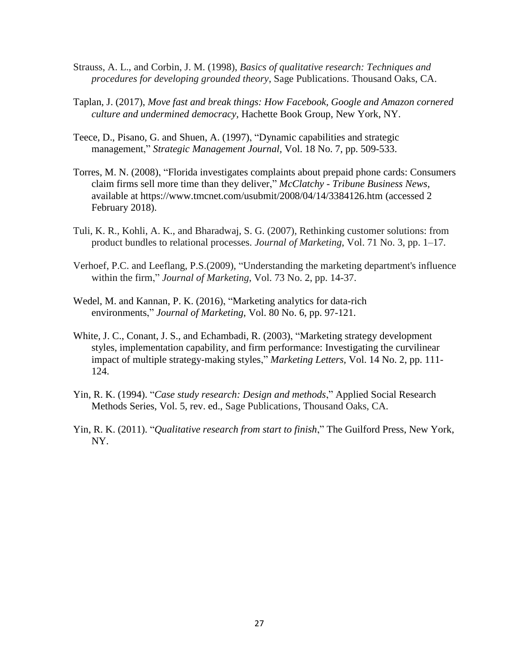- Strauss, A. L., and Corbin, J. M. (1998), *Basics of qualitative research: Techniques and procedures for developing grounded theory*, Sage Publications. Thousand Oaks, CA.
- Taplan, J. (2017), *Move fast and break things: How Facebook, Google and Amazon cornered culture and undermined democracy,* Hachette Book Group, New York, NY.
- Teece, D., Pisano, G. and Shuen, A. (1997), "Dynamic capabilities and strategic management," *Strategic Management Journal,* Vol. 18 No. 7, pp. 509-533.
- Torres, M. N. (2008), "Florida investigates complaints about prepaid phone cards: Consumers claim firms sell more time than they deliver," *McClatchy - Tribune Business News*, available at https://www.tmcnet.com/usubmit/2008/04/14/3384126.htm (accessed 2 February 2018).
- Tuli, K. R., Kohli, A. K., and Bharadwaj, S. G. (2007), Rethinking customer solutions: from product bundles to relational processes. *Journal of Marketing*, Vol. 71 No. 3, pp. 1–17.
- Verhoef, P.C. and Leeflang, P.S.(2009), "Understanding the marketing department's influence within the firm," *Journal of Marketing*, Vol. 73 No. 2, pp. 14-37.
- Wedel, M. and Kannan, P. K. (2016), "Marketing analytics for data-rich environments," *Journal of Marketing*, Vol. 80 No. 6, pp. 97-121.
- White, J. C., Conant, J. S., and Echambadi, R. (2003), "Marketing strategy development styles, implementation capability, and firm performance: Investigating the curvilinear impact of multiple strategy-making styles," *Marketing Letters,* Vol. 14 No. 2, pp. 111- 124.
- Yin, R. K. (1994). "*Case study research: Design and methods*," Applied Social Research Methods Series, Vol. 5, rev. ed., Sage Publications, Thousand Oaks, CA.
- Yin, R. K. (2011). "*Qualitative research from start to finish*," The Guilford Press, New York, NY.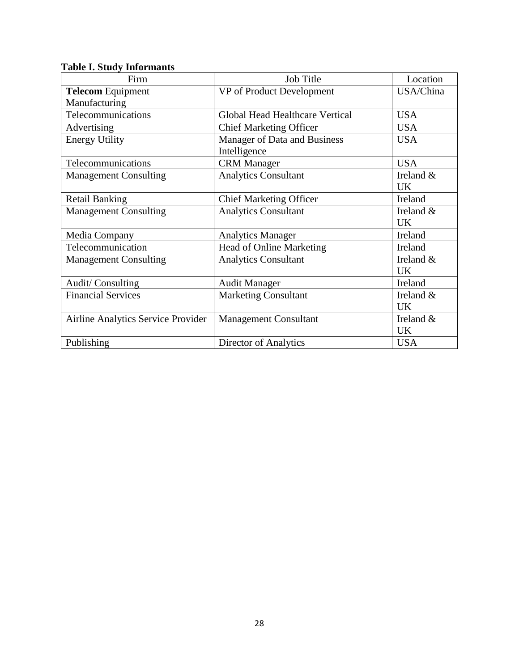| Firm                               | <b>Job Title</b>                | Location     |
|------------------------------------|---------------------------------|--------------|
| <b>Telecom Equipment</b>           | VP of Product Development       | USA/China    |
| Manufacturing                      |                                 |              |
| Telecommunications                 | Global Head Healthcare Vertical | <b>USA</b>   |
| Advertising                        | <b>Chief Marketing Officer</b>  | <b>USA</b>   |
| <b>Energy Utility</b>              | Manager of Data and Business    | <b>USA</b>   |
|                                    | Intelligence                    |              |
| Telecommunications                 | <b>CRM</b> Manager              | <b>USA</b>   |
| <b>Management Consulting</b>       | <b>Analytics Consultant</b>     | Ireland &    |
|                                    |                                 | <b>UK</b>    |
| <b>Retail Banking</b>              | <b>Chief Marketing Officer</b>  | Ireland      |
| <b>Management Consulting</b>       | <b>Analytics Consultant</b>     | Ireland $\&$ |
|                                    |                                 | <b>UK</b>    |
| Media Company                      | <b>Analytics Manager</b>        | Ireland      |
| Telecommunication                  | <b>Head of Online Marketing</b> | Ireland      |
| <b>Management Consulting</b>       | <b>Analytics Consultant</b>     | Ireland $&$  |
|                                    |                                 | <b>UK</b>    |
| Audit/Consulting                   | <b>Audit Manager</b>            | Ireland      |
| <b>Financial Services</b>          | <b>Marketing Consultant</b>     | Ireland &    |
|                                    |                                 | <b>UK</b>    |
| Airline Analytics Service Provider | <b>Management Consultant</b>    | Ireland &    |
|                                    |                                 | <b>UK</b>    |
| Publishing                         | Director of Analytics           | <b>USA</b>   |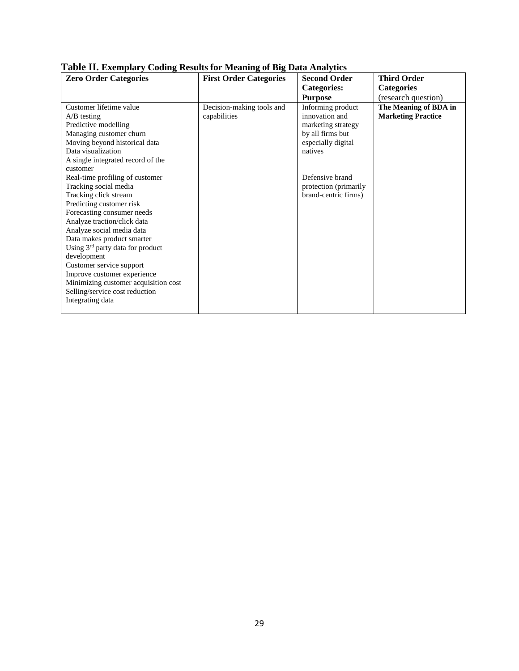| <b>Zero Order Categories</b>                 | <b>First Order Categories</b> | <b>Second Order</b>   | <b>Third Order</b>        |
|----------------------------------------------|-------------------------------|-----------------------|---------------------------|
|                                              |                               | <b>Categories:</b>    | <b>Categories</b>         |
|                                              |                               | <b>Purpose</b>        | (research question)       |
| Customer lifetime value                      | Decision-making tools and     | Informing product     | The Meaning of BDA in     |
| $A/B$ testing                                | capabilities                  | innovation and        | <b>Marketing Practice</b> |
| Predictive modelling                         |                               | marketing strategy    |                           |
| Managing customer churn                      |                               | by all firms but      |                           |
| Moving beyond historical data                |                               | especially digital    |                           |
| Data visualization                           |                               | natives               |                           |
| A single integrated record of the            |                               |                       |                           |
| customer                                     |                               |                       |                           |
| Real-time profiling of customer              |                               | Defensive brand       |                           |
| Tracking social media                        |                               | protection (primarily |                           |
| Tracking click stream                        |                               | brand-centric firms)  |                           |
| Predicting customer risk                     |                               |                       |                           |
| Forecasting consumer needs                   |                               |                       |                           |
| Analyze traction/click data                  |                               |                       |                           |
| Analyze social media data                    |                               |                       |                           |
| Data makes product smarter                   |                               |                       |                           |
| Using 3 <sup>rd</sup> party data for product |                               |                       |                           |
| development                                  |                               |                       |                           |
| Customer service support                     |                               |                       |                           |
| Improve customer experience                  |                               |                       |                           |
| Minimizing customer acquisition cost         |                               |                       |                           |
| Selling/service cost reduction               |                               |                       |                           |
| Integrating data                             |                               |                       |                           |
|                                              |                               |                       |                           |

## **Table II. Exemplary Coding Results for Meaning of Big Data Analytics**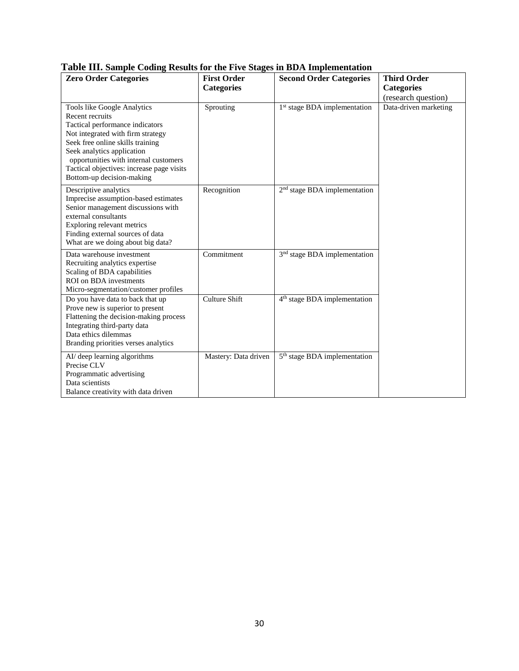| re man banque county repairs for the rive bea<br><b>Zero Order Categories</b>                                                                                                                                                                                                                               | <b>First Order</b><br><b>Categories</b> | es in BB11 imprementation<br><b>Second Order Categories</b> | <b>Third Order</b><br><b>Categories</b> |
|-------------------------------------------------------------------------------------------------------------------------------------------------------------------------------------------------------------------------------------------------------------------------------------------------------------|-----------------------------------------|-------------------------------------------------------------|-----------------------------------------|
|                                                                                                                                                                                                                                                                                                             |                                         |                                                             | (research question)                     |
| Tools like Google Analytics<br>Recent recruits<br>Tactical performance indicators<br>Not integrated with firm strategy<br>Seek free online skills training<br>Seek analytics application<br>opportunities with internal customers<br>Tactical objectives: increase page visits<br>Bottom-up decision-making | Sprouting                               | 1 <sup>st</sup> stage BDA implementation                    | Data-driven marketing                   |
| Descriptive analytics<br>Imprecise assumption-based estimates<br>Senior management discussions with<br>external consultants<br>Exploring relevant metrics<br>Finding external sources of data<br>What are we doing about big data?                                                                          | Recognition                             | 2 <sup>nd</sup> stage BDA implementation                    |                                         |
| Data warehouse investment<br>Recruiting analytics expertise<br>Scaling of BDA capabilities<br>ROI on BDA investments<br>Micro-segmentation/customer profiles                                                                                                                                                | Commitment                              | 3 <sup>nd</sup> stage BDA implementation                    |                                         |
| Do you have data to back that up<br>Prove new is superior to present<br>Flattening the decision-making process<br>Integrating third-party data<br>Data ethics dilemmas<br>Branding priorities verses analytics                                                                                              | <b>Culture Shift</b>                    | 4 <sup>th</sup> stage BDA implementation                    |                                         |
| AI/ deep learning algorithms<br>Precise CLV<br>Programmatic advertising<br>Data scientists<br>Balance creativity with data driven                                                                                                                                                                           | Mastery: Data driven                    | 5 <sup>th</sup> stage BDA implementation                    |                                         |

## **Table III. Sample Coding Results for the Five Stages in BDA Implementation**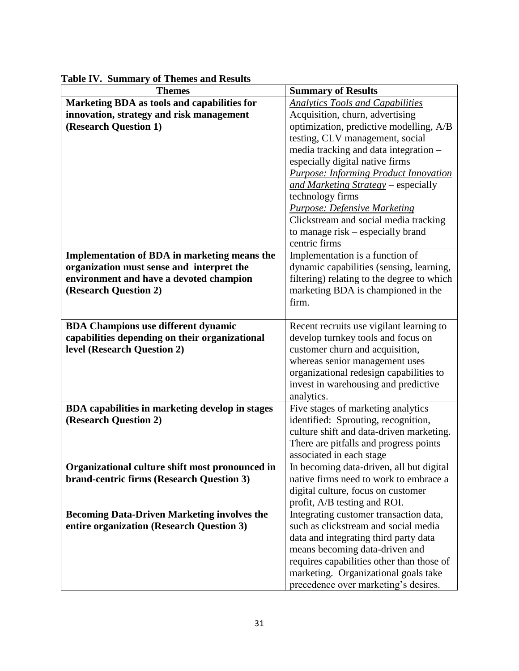| <b>Themes</b>                                       | <b>Summary of Results</b>                                            |
|-----------------------------------------------------|----------------------------------------------------------------------|
| Marketing BDA as tools and capabilities for         | <b>Analytics Tools and Capabilities</b>                              |
| innovation, strategy and risk management            | Acquisition, churn, advertising                                      |
| (Research Question 1)                               | optimization, predictive modelling, A/B                              |
|                                                     | testing, CLV management, social                                      |
|                                                     | media tracking and data integration -                                |
|                                                     | especially digital native firms                                      |
|                                                     | <b>Purpose: Informing Product Innovation</b>                         |
|                                                     | and Marketing Strategy - especially                                  |
|                                                     | technology firms                                                     |
|                                                     | <b>Purpose: Defensive Marketing</b>                                  |
|                                                     | Clickstream and social media tracking                                |
|                                                     | to manage risk – especially brand                                    |
|                                                     | centric firms                                                        |
| <b>Implementation of BDA in marketing means the</b> | Implementation is a function of                                      |
| organization must sense and interpret the           | dynamic capabilities (sensing, learning,                             |
| environment and have a devoted champion             | filtering) relating to the degree to which                           |
| (Research Question 2)                               | marketing BDA is championed in the                                   |
|                                                     | firm.                                                                |
|                                                     |                                                                      |
| <b>BDA Champions use different dynamic</b>          | Recent recruits use vigilant learning to                             |
| capabilities depending on their organizational      | develop turnkey tools and focus on                                   |
| level (Research Question 2)                         | customer churn and acquisition,                                      |
|                                                     | whereas senior management uses                                       |
|                                                     | organizational redesign capabilities to                              |
|                                                     | invest in warehousing and predictive                                 |
|                                                     | analytics.                                                           |
| BDA capabilities in marketing develop in stages     | Five stages of marketing analytics                                   |
| (Research Question 2)                               | identified: Sprouting, recognition,                                  |
|                                                     | culture shift and data-driven marketing.                             |
|                                                     | There are pitfalls and progress points                               |
| Organizational culture shift most pronounced in     | associated in each stage<br>In becoming data-driven, all but digital |
| brand-centric firms (Research Question 3)           | native firms need to work to embrace a                               |
|                                                     | digital culture, focus on customer                                   |
|                                                     | profit, A/B testing and ROI.                                         |
| <b>Becoming Data-Driven Marketing involves the</b>  | Integrating customer transaction data,                               |
| entire organization (Research Question 3)           | such as clickstream and social media                                 |
|                                                     | data and integrating third party data                                |
|                                                     | means becoming data-driven and                                       |
|                                                     | requires capabilities other than those of                            |
|                                                     | marketing. Organizational goals take                                 |
|                                                     | precedence over marketing's desires.                                 |

**Table IV. Summary of Themes and Results**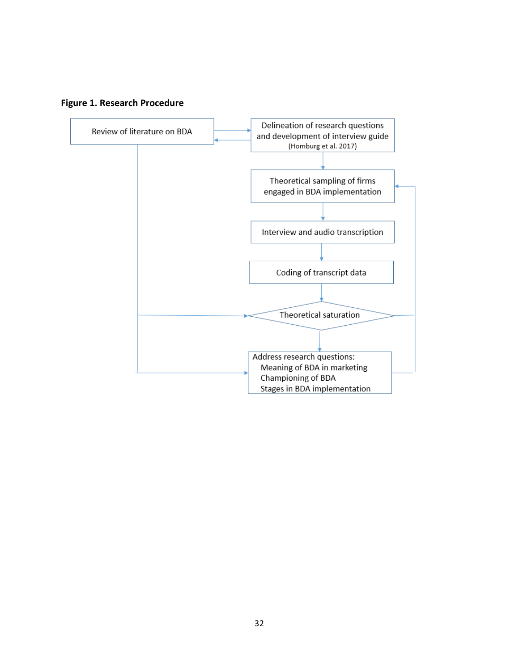

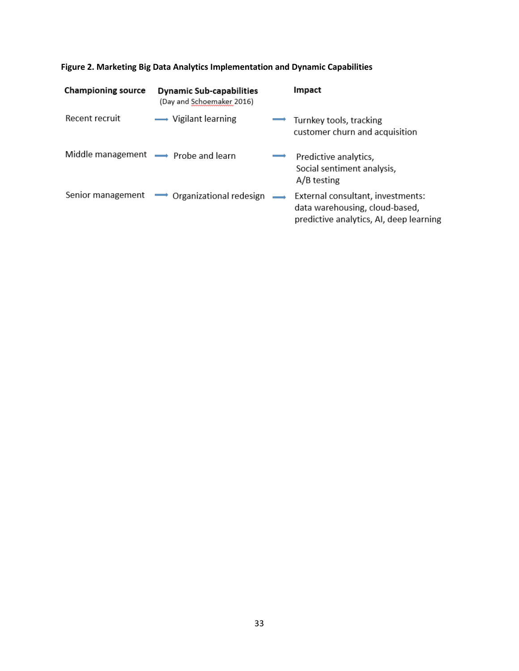| <b>Championing source</b>           | <b>Dynamic Sub-capabilities</b><br>(Day and Schoemaker 2016) | Impact                                                                                                         |
|-------------------------------------|--------------------------------------------------------------|----------------------------------------------------------------------------------------------------------------|
| Recent recruit                      | $\longrightarrow$ Vigilant learning                          | Turnkey tools, tracking<br>customer churn and acquisition                                                      |
| Middle management - Probe and learn |                                                              | Predictive analytics,<br>Social sentiment analysis,<br>A/B testing                                             |
| Senior management                   | $\rightarrow$ Organizational redesign $\rightarrow$          | External consultant, investments:<br>data warehousing, cloud-based,<br>predictive analytics, AI, deep learning |

# **Figure 2. Marketing Big Data Analytics Implementation and Dynamic Capabilities**